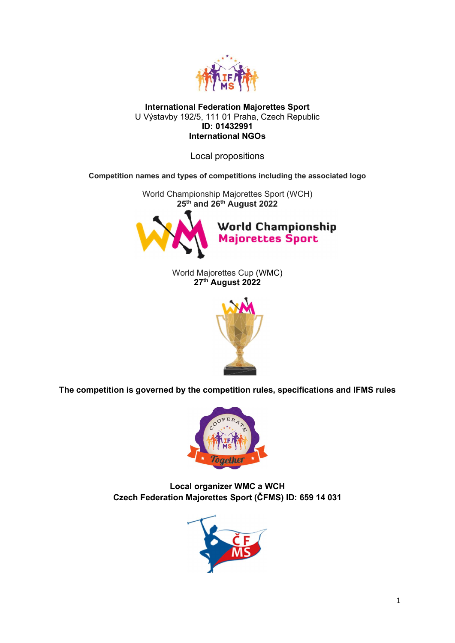

## International Federation Majorettes Sport U Výstavby 192/5, 111 01 Praha, Czech Republic ID: 01432991 International NGOs

Local propositions

Competition names and types of competitions including the associated logo

World Championship Majorettes Sport (WCH) 25<sup>th</sup> and 26<sup>th</sup> August 2022



World Majorettes Cup (WMC) 27<sup>th</sup> August 2022



The competition is governed by the competition rules, specifications and IFMS rules



Local organizer WMC a WCH Czech Federation Majorettes Sport (ČFMS) ID: 659 14 031

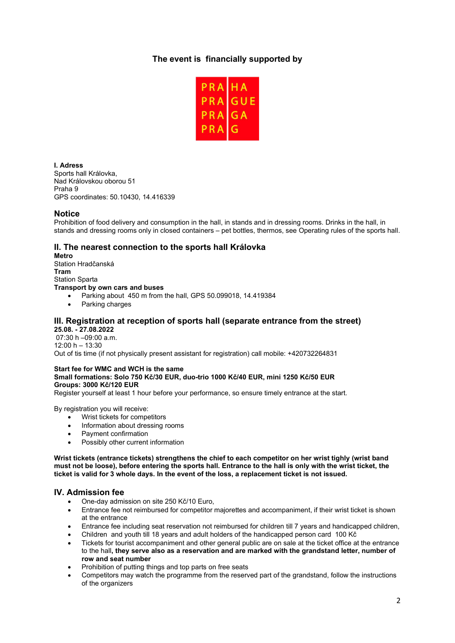# The event is financially supported by



I. Adress Sports hall Královka, Nad Královskou oborou 51 Praha 9 GPS coordinates: 50.10430, 14.416339

### Notice

Prohibition of food delivery and consumption in the hall, in stands and in dressing rooms. Drinks in the hall, in stands and dressing rooms only in closed containers – pet bottles, thermos, see Operating rules of the sports hall.

# II. The nearest connection to the sports hall Královka

Metro Station Hradčanská Tram Station Sparta Transport by own cars and buses

- Parking about 450 m from the hall, GPS 50.099018, 14.419384
- Parking charges

# III. Registration at reception of sports hall (separate entrance from the street)

25.08. - 27.08.2022 07:30 h –09:00 a.m.  $12:00 h - 13:30$ Out of tis time (if not physically present assistant for registration) call mobile: +420732264831

#### Start fee for WMC and WCH is the same

#### Small formations: Solo 750 Kč/30 EUR, duo-trio 1000 Kč/40 EUR, mini 1250 Kč/50 EUR Groups: 3000 Kč/120 EUR

Register yourself at least 1 hour before your performance, so ensure timely entrance at the start.

By registration you will receive:

- Wrist tickets for competitors
- Information about dressing rooms
- Payment confirmation
- Possibly other current information

Wrist tickets (entrance tickets) strengthens the chief to each competitor on her wrist tighly (wrist band must not be loose), before entering the sports hall. Entrance to the hall is only with the wrist ticket, the ticket is valid for 3 whole days. In the event of the loss, a replacement ticket is not issued.

## IV. Admission fee

- One-day admission on site 250 Kč/10 Euro,
- Entrance fee not reimbursed for competitor majorettes and accompaniment, if their wrist ticket is shown at the entrance
- Entrance fee including seat reservation not reimbursed for children till 7 years and handicapped children,
- Children and youth till 18 years and adult holders of the handicapped person card 100 Kč
- Tickets for tourist accompaniment and other general public are on sale at the ticket office at the entrance to the hall, they serve also as a reservation and are marked with the grandstand letter, number of row and seat number
- Prohibition of putting things and top parts on free seats
- Competitors may watch the programme from the reserved part of the grandstand, follow the instructions of the organizers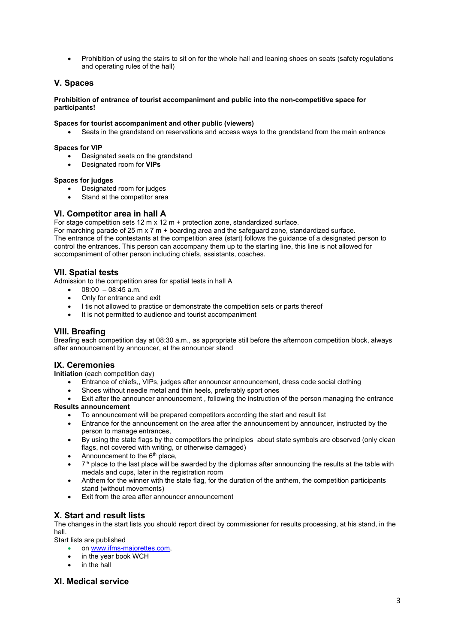• Prohibition of using the stairs to sit on for the whole hall and leaning shoes on seats (safety regulations and operating rules of the hall)

## V. Spaces

#### Prohibition of entrance of tourist accompaniment and public into the non-competitive space for participants!

#### Spaces for tourist accompaniment and other public (viewers)

Seats in the grandstand on reservations and access ways to the grandstand from the main entrance

#### Spaces for VIP

- Designated seats on the grandstand
- Designated room for **VIPs**

#### Spaces for judges

- Designated room for judges
- Stand at the competitor area

#### VI. Competitor area in hall A

For stage competition sets 12 m x 12 m + protection zone, standardized surface.

For marching parade of 25 m x 7 m + boarding area and the safeguard zone, standardized surface. The entrance of the contestants at the competition area (start) follows the guidance of a designated person to control the entrances. This person can accompany them up to the starting line, this line is not allowed for accompaniment of other person including chiefs, assistants, coaches.

## VII. Spatial tests

Admission to the competition area for spatial tests in hall A

- $\bullet$  08:00 08:45 a.m.
- Only for entrance and exit
- I tis not allowed to practice or demonstrate the competition sets or parts thereof
- It is not permitted to audience and tourist accompaniment

## VIII. Breafing

Breafing each competition day at 08:30 a.m., as appropriate still before the afternoon competition block, always after announcement by announcer, at the announcer stand

## IX. Ceremonies

Initiation (each competition day)

- Entrance of chiefs,, VIPs, judges after announcer announcement, dress code social clothing
- Shoes without needle metal and thin heels, preferably sport ones
- Exit after the announcer announcement , following the instruction of the person managing the entrance Results announcement
	- To announcement will be prepared competitors according the start and result list
	- Entrance for the announcement on the area after the announcement by announcer, instructed by the person to manage entrances,
	- By using the state flags by the competitors the principles about state symbols are observed (only clean flags, not covered with writing, or otherwise damaged)
	- Announcement to the  $6<sup>th</sup>$  place,
	- $7<sup>th</sup>$  place to the last place will be awarded by the diplomas after announcing the results at the table with medals and cups, later in the registration room
	- Anthem for the winner with the state flag, for the duration of the anthem, the competition participants stand (without movements)
	- Exit from the area after announcer announcement

## X. Start and result lists

The changes in the start lists you should report direct by commissioner for results processing, at his stand, in the hall.

Start lists are published

- on www.ifms-majorettes.com,
- in the year book WCH
- in the hall

## XI. Medical service